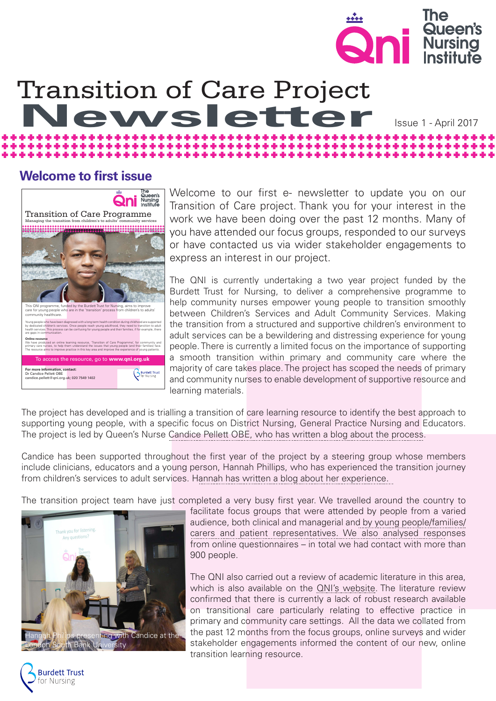

# Transition of Care Project<br>Newsletter

### Issue 1 - April 2017

### **Welcome to first issue**



Welcome to our first e- newsletter to update you on our Transition of Care project. Thank you for your interest in the work we have been doing over the past 12 months. Many of you have attended our focus groups, responded to our surveys or have contacted us via wider stakeholder engagements to express an interest in our project.

The QNI is currently undertaking a two year project funded by the Burdett Trust for Nursing, to deliver a comprehensive programme to help community nurses empower young people to transition smoothly between Children's Services and Adult Community Services. Making the transition from a structured and supportive children's environment to adult services can be a bewildering and distressing experience for young people. There is currently a limited focus on the importance of supporting a smooth transition within primary and community care where the majority of care takes place. The project has scoped the needs of primary and community nurses to enable development of supportive resource and learning materials.

The project has developed and is trialling a transition of care learning resource to identify the best approach to supporting young people, with a specific focus on District Nursing, General Practice Nursing and Educators. The project is led by Queen's Nurse Candice Pellett OBE, [who has written a blog about the process.](https://www.qni.org.uk/2016/08/17/yptp/)

Candice has been supported throughout the first year of the project by a steering group whose members include clinicians, educators and a young person, Hannah Phillips, who has experienced the transition journey from children's services to adult services. [Hannah has written a blog about her experience.](https://www.qni.org.uk/2017/01/10/guide-empower-young-people-become-independent/) 

The transition project team have just completed a very busy first year. We travelled around the country to



facilitate focus groups that were attended by people from a varied audience, [both clinical and managerial and by young people/families/](https://www.qni.org.uk/nursing-in-the-community/from-child-to-adult/) [carers and patient representatives](https://www.qni.org.uk/nursing-in-the-community/from-child-to-adult/). We also analysed responses from online questionnaires – in total we had contact with more than 900 people.

The QNI also carried out a review of academic literature in this area, which is also available on the [QNI's website.](https://www.qni.org.uk/nursing-in-the-community/from-child-to-adult/) The literature review confirmed that there is currently a lack of robust research available on transitional care particularly relating to effective practice in primary and community care settings. All the data we collated from the past 12 months from the focus groups, online surveys and wider stakeholder engagements informed the content of our new, online transition learning resource.